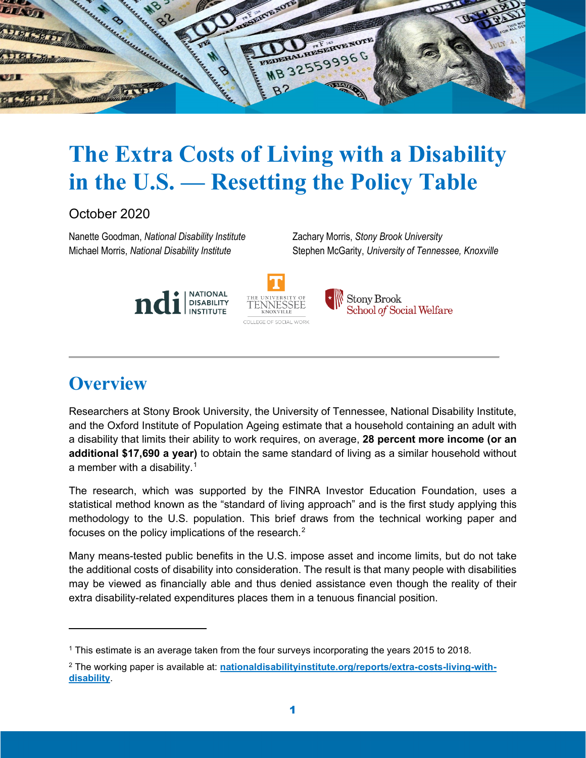

# **The Extra Costs of Living with a Disability in the U.S. — Resetting the Policy Table**

October 2020

Nanette Goodman, *National Disability Institute* Zachary Morris, *Stony Brook University*

Michael Morris, *National Disability Institute* Stephen McGarity, *University of Tennessee, Knoxville*





**Stony Brook** School of Social Welfare

## **Overview**

Researchers at Stony Brook University, the University of Tennessee, National Disability Institute, and the Oxford Institute of Population Ageing estimate that a household containing an adult with a disability that limits their ability to work requires, on average, **28 percent more income (or an additional \$17,690 a year)** to obtain the same standard of living as a similar household without a member with a disability. $^1$  $^1$ 

The research, which was supported by the FINRA Investor Education Foundation, uses a statistical method known as the "standard of living approach" and is the first study applying this methodology to the U.S. population. This brief draws from the technical working paper and focuses on the policy implications of the research. $^2$  $^2$ 

Many means-tested public benefits in the U.S. impose asset and income limits, but do not take the additional costs of disability into consideration. The result is that many people with disabilities may be viewed as financially able and thus denied assistance even though the reality of their extra disability-related expenditures places them in a tenuous financial position.

<span id="page-0-0"></span><sup>1</sup> This estimate is an average taken from the four surveys incorporating the years 2015 to 2018.

<span id="page-0-1"></span><sup>2</sup> The working paper is available at: **[nationaldisabilityinstitute.org/reports/extra-costs-living-with](https://www.nationaldisabilityinstitute.org/reports/extra-costs-living-with-disability)[disability](https://www.nationaldisabilityinstitute.org/reports/extra-costs-living-with-disability)**.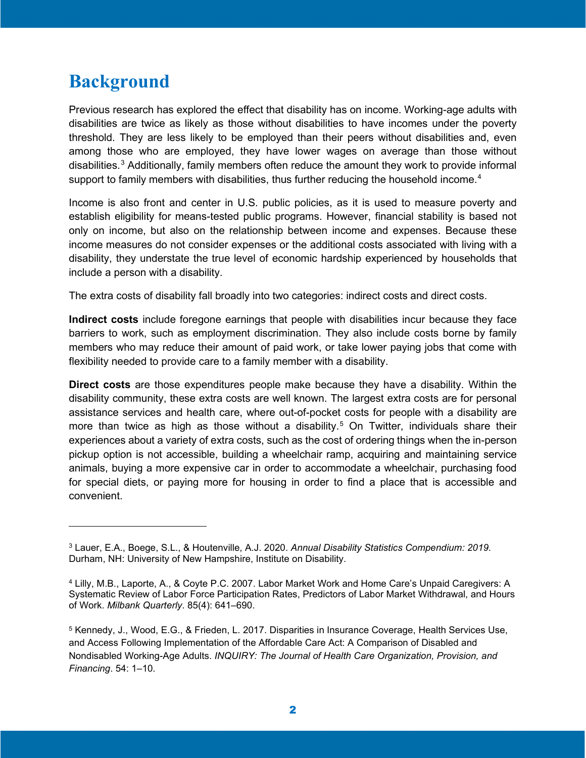### **Background**

Previous research has explored the effect that disability has on income. Working-age adults with disabilities are twice as likely as those without disabilities to have incomes under the poverty threshold. They are less likely to be employed than their peers without disabilities and, even among those who are employed, they have lower wages on average than those without disabilities. $3$  Additionally, family members often reduce the amount they work to provide informal support to family members with disabilities, thus further reducing the household income.<sup>[4](#page-1-1)</sup>

Income is also front and center in U.S. public policies, as it is used to measure poverty and establish eligibility for means-tested public programs. However, financial stability is based not only on income, but also on the relationship between income and expenses. Because these income measures do not consider expenses or the additional costs associated with living with a disability, they understate the true level of economic hardship experienced by households that include a person with a disability.

The extra costs of disability fall broadly into two categories: indirect costs and direct costs.

**Indirect costs** include foregone earnings that people with disabilities incur because they face barriers to work, such as employment discrimination. They also include costs borne by family members who may reduce their amount of paid work, or take lower paying jobs that come with flexibility needed to provide care to a family member with a disability.

**Direct costs** are those expenditures people make because they have a disability. Within the disability community, these extra costs are well known. The largest extra costs are for personal assistance services and health care, where out-of-pocket costs for people with a disability are more than twice as high as those without a disability.<sup>[5](#page-1-2)</sup> On Twitter, individuals share their experiences about a variety of extra costs, such as the cost of ordering things when the in-person pickup option is not accessible, building a wheelchair ramp, acquiring and maintaining service animals, buying a more expensive car in order to accommodate a wheelchair, purchasing food for special diets, or paying more for housing in order to find a place that is accessible and convenient.

<span id="page-1-0"></span><sup>3</sup> Lauer, E.A., Boege, S.L., & Houtenville, A.J. 2020. *Annual Disability Statistics Compendium: 2019*. Durham, NH: University of New Hampshire, Institute on Disability.

<span id="page-1-1"></span><sup>4</sup> Lilly, M.B., Laporte, A., & Coyte P.C. 2007. Labor Market Work and Home Care's Unpaid Caregivers: A Systematic Review of Labor Force Participation Rates, Predictors of Labor Market Withdrawal, and Hours of Work. *Milbank Quarterly*. 85(4): 641–690.

<span id="page-1-2"></span><sup>5</sup> Kennedy, J., Wood, E.G., & Frieden, L. 2017. Disparities in Insurance Coverage, Health Services Use, and Access Following Implementation of the Affordable Care Act: A Comparison of Disabled and Nondisabled Working-Age Adults. *INQUIRY: The Journal of Health Care Organization, Provision, and Financing*. 54: 1–10.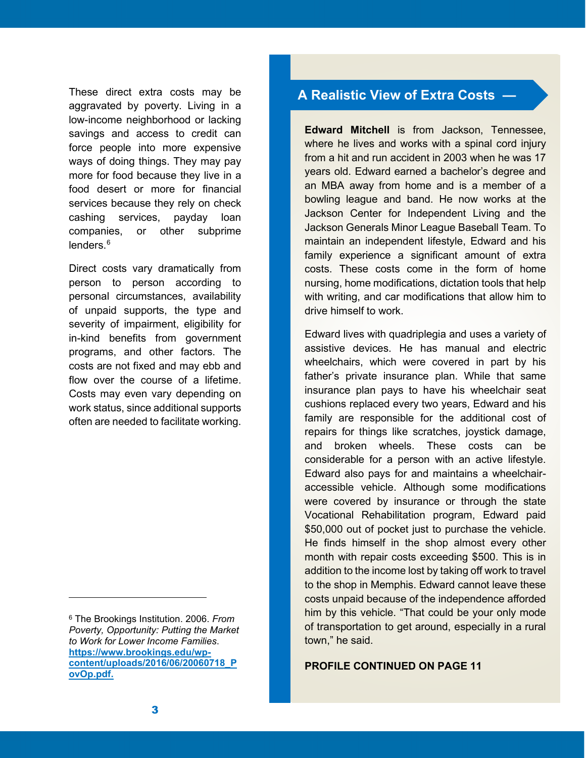These direct extra costs may be aggravated by poverty. Living in a low-income neighborhood or lacking savings and access to credit can force people into more expensive ways of doing things. They may pay more for food because they live in a food desert or more for financial services because they rely on check cashing services, payday loan companies, or other subprime lenders.<sup>[6](#page-2-0)</sup>

Direct costs vary dramatically from person to person according to personal circumstances, availability of unpaid supports, the type and severity of impairment, eligibility for in-kind benefits from government programs, and other factors. The costs are not fixed and may ebb and flow over the course of a lifetime. Costs may even vary depending on work status, since additional supports often are needed to facilitate working.

#### **A Realistic View of Extra Costs —**

**Edward Mitchell** is from Jackson, Tennessee, where he lives and works with a spinal cord injury from a hit and run accident in 2003 when he was 17 years old. Edward earned a bachelor's degree and an MBA away from home and is a member of a bowling league and band. He now works at the Jackson Center for Independent Living and the Jackson Generals Minor League Baseball Team. To maintain an independent lifestyle, Edward and his family experience a significant amount of extra costs. These costs come in the form of home nursing, home modifications, dictation tools that help with writing, and car modifications that allow him to drive himself to work.

Edward lives with quadriplegia and uses a variety of assistive devices. He has manual and electric wheelchairs, which were covered in part by his father's private insurance plan. While that same insurance plan pays to have his wheelchair seat cushions replaced every two years, Edward and his family are responsible for the additional cost of repairs for things like scratches, joystick damage, and broken wheels. These costs can be considerable for a person with an active lifestyle. Edward also pays for and maintains a wheelchairaccessible vehicle. Although some modifications were covered by insurance or through the state Vocational Rehabilitation program, Edward paid \$50,000 out of pocket just to purchase the vehicle. He finds himself in the shop almost every other month with repair costs exceeding \$500. This is in addition to the income lost by taking off work to travel to the shop in Memphis. Edward cannot leave these costs unpaid because of the independence afforded him by this vehicle. "That could be your only mode of transportation to get around, especially in a rural town," he said.

#### **PROFILE CONTINUED ON PAGE 11**

<span id="page-2-0"></span><sup>6</sup> The Brookings Institution. 2006. *From Poverty, Opportunity: Putting the Market to Work for Lower Income Families*. **[https://www.brookings.edu/wp](https://www.brookings.edu/wp-content/uploads/2016/06/20060718_PovOp.pdf)[content/uploads/2016/06/20060718\\_P](https://www.brookings.edu/wp-content/uploads/2016/06/20060718_PovOp.pdf) [ovOp.pdf.](https://www.brookings.edu/wp-content/uploads/2016/06/20060718_PovOp.pdf)**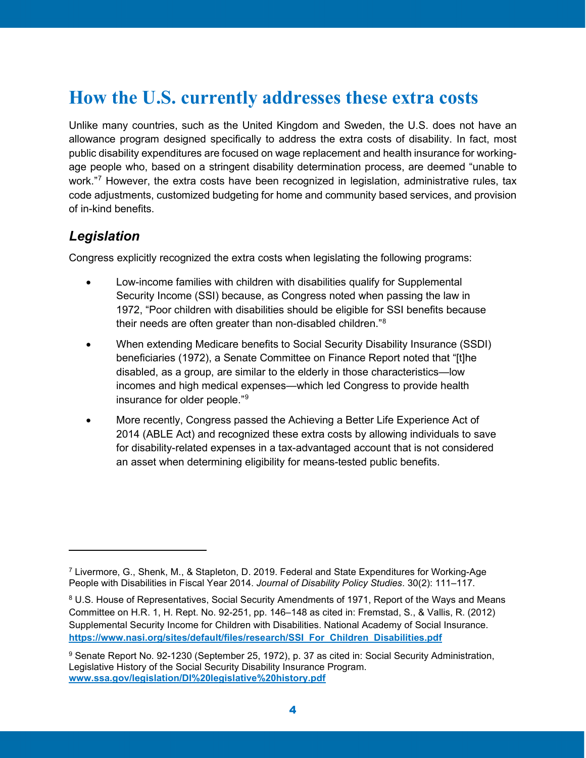### **How the U.S. currently addresses these extra costs**

Unlike many countries, such as the United Kingdom and Sweden, the U.S. does not have an allowance program designed specifically to address the extra costs of disability. In fact, most public disability expenditures are focused on wage replacement and health insurance for workingage people who, based on a stringent disability determination process, are deemed "unable to work."<sup>7</sup> However, the extra costs have been recognized in legislation, administrative rules, tax code adjustments, customized budgeting for home and community based services, and provision of in-kind benefits.

#### *Legislation*

Congress explicitly recognized the extra costs when legislating the following programs:

- Low-income families with children with disabilities qualify for Supplemental Security Income (SSI) because, as Congress noted when passing the law in 1972, "Poor children with disabilities should be eligible for SSI benefits because their needs are often greater than non-disabled children."[8](#page-3-1)
- When extending Medicare benefits to Social Security Disability Insurance (SSDI) beneficiaries (1972), a Senate Committee on Finance Report noted that "[t]he disabled, as a group, are similar to the elderly in those characteristics—low incomes and high medical expenses—which led Congress to provide health insurance for older people."[9](#page-3-2)
- More recently, Congress passed the Achieving a Better Life Experience Act of 2014 (ABLE Act) and recognized these extra costs by allowing individuals to save for disability-related expenses in a tax-advantaged account that is not considered an asset when determining eligibility for means-tested public benefits.

<span id="page-3-0"></span><sup>7</sup> Livermore, G., Shenk, M., & Stapleton, D. 2019. Federal and State Expenditures for Working-Age People with Disabilities in Fiscal Year 2014. *Journal of Disability Policy Studies*. 30(2): 111–117.

<span id="page-3-1"></span><sup>8</sup> U.S. House of Representatives, Social Security Amendments of 1971, Report of the Ways and Means Committee on H.R. 1, H. Rept. No. 92-251, pp. 146–148 as cited in: Fremstad, S., & Vallis, R. (2012) Supplemental Security Income for Children with Disabilities. National Academy of Social Insurance. **[https://www.nasi.org/sites/default/files/research/SSI\\_For\\_Children\\_Disabilities.pdf](https://www.nasi.org/sites/default/files/research/SSI_For_Children_Disabilities.pdf)**

<span id="page-3-2"></span><sup>9</sup> Senate Report No. 92-1230 (September 25, 1972), p. 37 as cited in: Social Security Administration, Legislative History of the Social Security Disability Insurance Program. **[www.ssa.gov/legislation/DI%20legislative%20history.pdf](http://www.ssa.gov/legislation/DI%20legislative%20history.pdf)**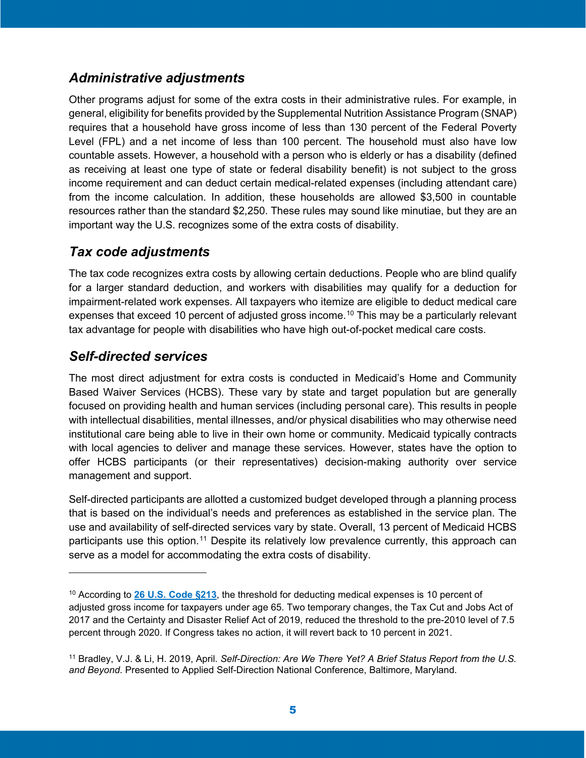#### *Administrative adjustments*

Other programs adjust for some of the extra costs in their administrative rules. For example, in general, eligibility for benefits provided by the Supplemental Nutrition Assistance Program (SNAP) requires that a household have gross income of less than 130 percent of the Federal Poverty Level (FPL) and a net income of less than 100 percent. The household must also have low countable assets. However, a household with a person who is elderly or has a disability (defined as receiving at least one type of state or federal disability benefit) is not subject to the gross income requirement and can deduct certain medical-related expenses (including attendant care) from the income calculation. In addition, these households are allowed \$3,500 in countable resources rather than the standard \$2,250. These rules may sound like minutiae, but they are an important way the U.S. recognizes some of the extra costs of disability.

#### *Tax code adjustments*

The tax code recognizes extra costs by allowing certain deductions. People who are blind qualify for a larger standard deduction, and workers with disabilities may qualify for a deduction for impairment-related work expenses. All taxpayers who itemize are eligible to deduct medical care expenses that exceed [10](#page-4-0) percent of adjusted gross income.<sup>10</sup> This may be a particularly relevant tax advantage for people with disabilities who have high out-of-pocket medical care costs.

#### *Self-directed services*

The most direct adjustment for extra costs is conducted in Medicaid's Home and Community Based Waiver Services (HCBS). These vary by state and target population but are generally focused on providing health and human services (including personal care). This results in people with intellectual disabilities, mental illnesses, and/or physical disabilities who may otherwise need institutional care being able to live in their own home or community. Medicaid typically contracts with local agencies to deliver and manage these services. However, states have the option to offer HCBS participants (or their representatives) decision-making authority over service management and support.

Self-directed participants are allotted a customized budget developed through a planning process that is based on the individual's needs and preferences as established in the service plan. The use and availability of self-directed services vary by state. Overall, 13 percent of Medicaid HCBS participants use this option.[11](#page-4-1) Despite its relatively low prevalence currently, this approach can serve as a model for accommodating the extra costs of disability.

<span id="page-4-0"></span><sup>10</sup> According to **[26 U.S. Code §213](https://www.law.cornell.edu/uscode/text/26/213)**, the threshold for deducting medical expenses is 10 percent of adjusted gross income for taxpayers under age 65. Two temporary changes, the Tax Cut and Jobs Act of 2017 and the Certainty and Disaster Relief Act of 2019, reduced the threshold to the pre-2010 level of 7.5 percent through 2020. If Congress takes no action, it will revert back to 10 percent in 2021.

<span id="page-4-1"></span><sup>11</sup> Bradley, V.J. & Li, H. 2019, April. *Self-Direction: Are We There Yet? A Brief Status Report from the U.S. and Beyond*. Presented to Applied Self-Direction National Conference, Baltimore, Maryland.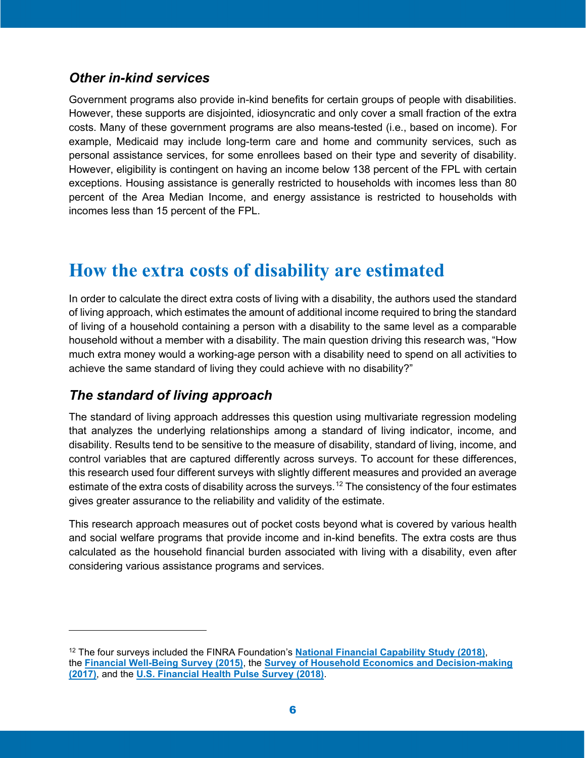#### *Other in-kind services*

Government programs also provide in-kind benefits for certain groups of people with disabilities. However, these supports are disjointed, idiosyncratic and only cover a small fraction of the extra costs. Many of these government programs are also means-tested (i.e., based on income). For example, Medicaid may include long-term care and home and community services, such as personal assistance services, for some enrollees based on their type and severity of disability. However, eligibility is contingent on having an income below 138 percent of the FPL with certain exceptions. Housing assistance is generally restricted to households with incomes less than 80 percent of the Area Median Income, and energy assistance is restricted to households with incomes less than 15 percent of the FPL.

### **How the extra costs of disability are estimated**

In order to calculate the direct extra costs of living with a disability, the authors used the standard of living approach, which estimates the amount of additional income required to bring the standard of living of a household containing a person with a disability to the same level as a comparable household without a member with a disability. The main question driving this research was, "How much extra money would a working-age person with a disability need to spend on all activities to achieve the same standard of living they could achieve with no disability?"

#### *The standard of living approach*

The standard of living approach addresses this question using multivariate regression modeling that analyzes the underlying relationships among a standard of living indicator, income, and disability. Results tend to be sensitive to the measure of disability, standard of living, income, and control variables that are captured differently across surveys. To account for these differences, this research used four different surveys with slightly different measures and provided an average estimate of the extra costs of disability across the surveys.<sup>[12](#page-5-0)</sup> The consistency of the four estimates gives greater assurance to the reliability and validity of the estimate.

This research approach measures out of pocket costs beyond what is covered by various health and social welfare programs that provide income and in-kind benefits. The extra costs are thus calculated as the household financial burden associated with living with a disability, even after considering various assistance programs and services.

<span id="page-5-0"></span><sup>12</sup> The four surveys included the FINRA Foundation's **[National Financial Capability Study](https://www.usfinancialcapability.org/about.php) (2018)**, the **[Financial Well-Being Survey](https://www.consumerfinance.gov/data-research/financial-well-being-survey-data/) (2015)**, the **[Survey of Household Economics and Decision-making](https://www.federalreserve.gov/consumerscommunities/shed_data.htm) (2017)**, and the **[U.S. Financial Health Pulse Survey](https://finhealthnetwork.org/research/u-s-financial-health-pulse-2018-baseline-survey-results/) (2018)**.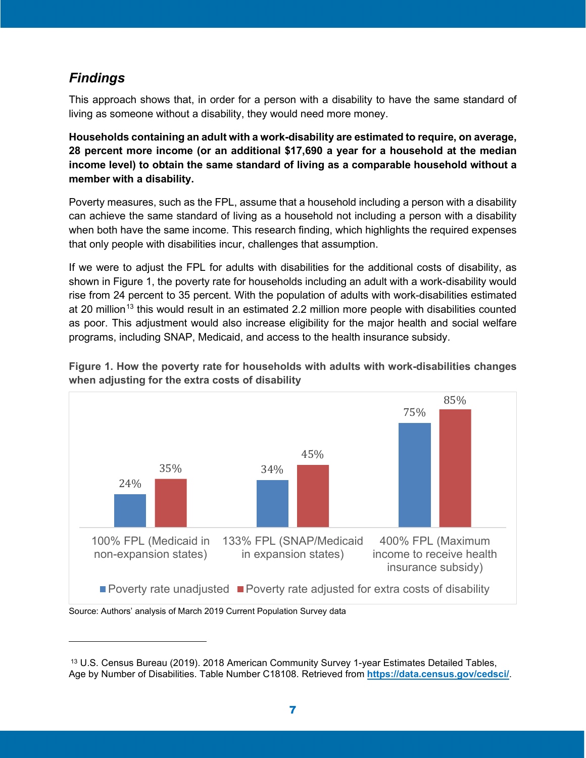#### *Findings*

This approach shows that, in order for a person with a disability to have the same standard of living as someone without a disability, they would need more money.

**Households containing an adult with a work-disability are estimated to require, on average, 28 percent more income (or an additional \$17,690 a year for a household at the median income level) to obtain the same standard of living as a comparable household without a member with a disability.**

Poverty measures, such as the FPL, assume that a household including a person with a disability can achieve the same standard of living as a household not including a person with a disability when both have the same income. This research finding, which highlights the required expenses that only people with disabilities incur, challenges that assumption.

If we were to adjust the FPL for adults with disabilities for the additional costs of disability, as shown in Figure 1, the poverty rate for households including an adult with a work-disability would rise from 24 percent to 35 percent. With the population of adults with work-disabilities estimated at 20 million<sup>[13](#page-6-0)</sup> this would result in an estimated 2.2 million more people with disabilities counted as poor. This adjustment would also increase eligibility for the major health and social welfare programs, including SNAP, Medicaid, and access to the health insurance subsidy.



**Figure 1. How the poverty rate for households with adults with work-disabilities changes when adjusting for the extra costs of disability** 

<span id="page-6-0"></span><sup>13</sup> U.S. Census Bureau (2019). 2018 American Community Survey 1-year Estimates Detailed Tables, Age by Number of Disabilities. Table Number C18108. Retrieved from **<https://data.census.gov/cedsci/>**.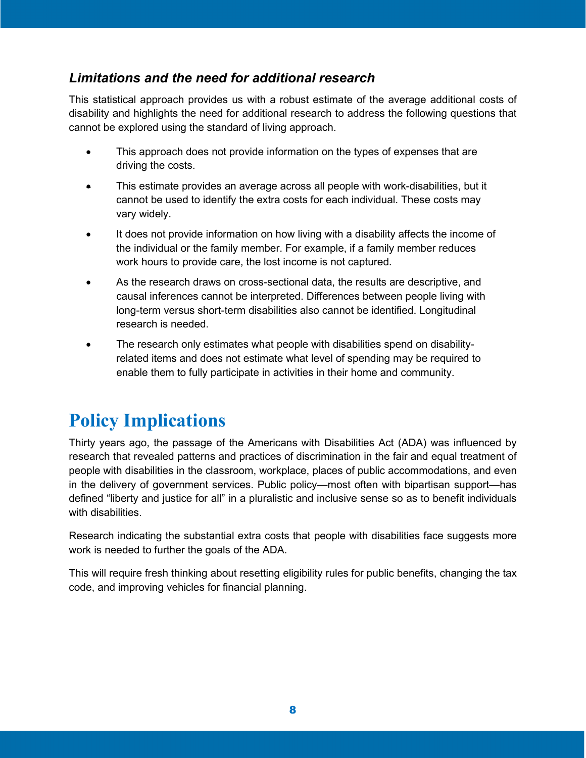#### *Limitations and the need for additional research*

This statistical approach provides us with a robust estimate of the average additional costs of disability and highlights the need for additional research to address the following questions that cannot be explored using the standard of living approach.

- This approach does not provide information on the types of expenses that are driving the costs.
- This estimate provides an average across all people with work-disabilities, but it cannot be used to identify the extra costs for each individual. These costs may vary widely.
- It does not provide information on how living with a disability affects the income of the individual or the family member. For example, if a family member reduces work hours to provide care, the lost income is not captured.
- As the research draws on cross-sectional data, the results are descriptive, and causal inferences cannot be interpreted. Differences between people living with long-term versus short-term disabilities also cannot be identified. Longitudinal research is needed.
- The research only estimates what people with disabilities spend on disabilityrelated items and does not estimate what level of spending may be required to enable them to fully participate in activities in their home and community.

## **Policy Implications**

Thirty years ago, the passage of the Americans with Disabilities Act (ADA) was influenced by research that revealed patterns and practices of discrimination in the fair and equal treatment of people with disabilities in the classroom, workplace, places of public accommodations, and even in the delivery of government services. Public policy—most often with bipartisan support—has defined "liberty and justice for all" in a pluralistic and inclusive sense so as to benefit individuals with disabilities.

Research indicating the substantial extra costs that people with disabilities face suggests more work is needed to further the goals of the ADA.

This will require fresh thinking about resetting eligibility rules for public benefits, changing the tax code, and improving vehicles for financial planning.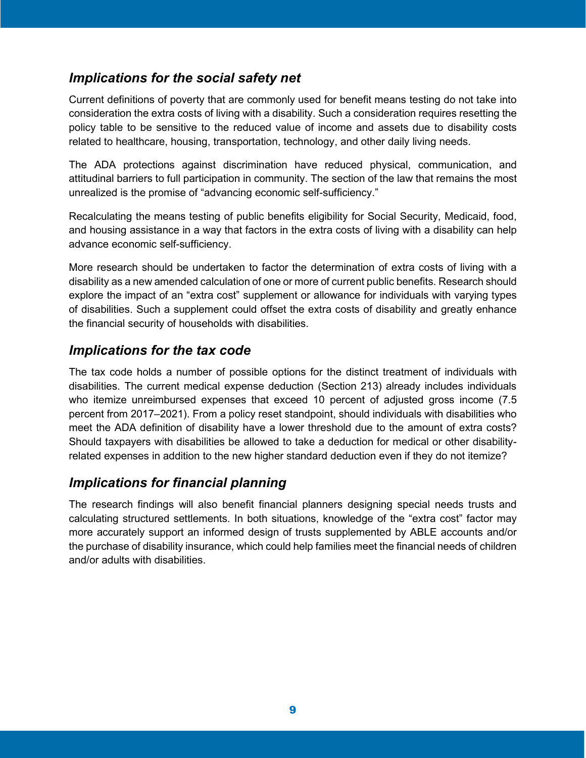#### *Implications for the social safety net*

Current definitions of poverty that are commonly used for benefit means testing do not take into consideration the extra costs of living with a disability. Such a consideration requires resetting the policy table to be sensitive to the reduced value of income and assets due to disability costs related to healthcare, housing, transportation, technology, and other daily living needs.

The ADA protections against discrimination have reduced physical, communication, and attitudinal barriers to full participation in community. The section of the law that remains the most unrealized is the promise of "advancing economic self-sufficiency."

Recalculating the means testing of public benefits eligibility for Social Security, Medicaid, food, and housing assistance in a way that factors in the extra costs of living with a disability can help advance economic self-sufficiency.

More research should be undertaken to factor the determination of extra costs of living with a disability as a new amended calculation of one or more of current public benefits. Research should explore the impact of an "extra cost" supplement or allowance for individuals with varying types of disabilities. Such a supplement could offset the extra costs of disability and greatly enhance the financial security of households with disabilities.

#### *Implications for the tax code*

The tax code holds a number of possible options for the distinct treatment of individuals with disabilities. The current medical expense deduction (Section 213) already includes individuals who itemize unreimbursed expenses that exceed 10 percent of adjusted gross income (7.5 percent from 2017–2021). From a policy reset standpoint, should individuals with disabilities who meet the ADA definition of disability have a lower threshold due to the amount of extra costs? Should taxpayers with disabilities be allowed to take a deduction for medical or other disabilityrelated expenses in addition to the new higher standard deduction even if they do not itemize?

#### *Implications for financial planning*

The research findings will also benefit financial planners designing special needs trusts and calculating structured settlements. In both situations, knowledge of the "extra cost" factor may more accurately support an informed design of trusts supplemented by ABLE accounts and/or the purchase of disability insurance, which could help families meet the financial needs of children and/or adults with disabilities.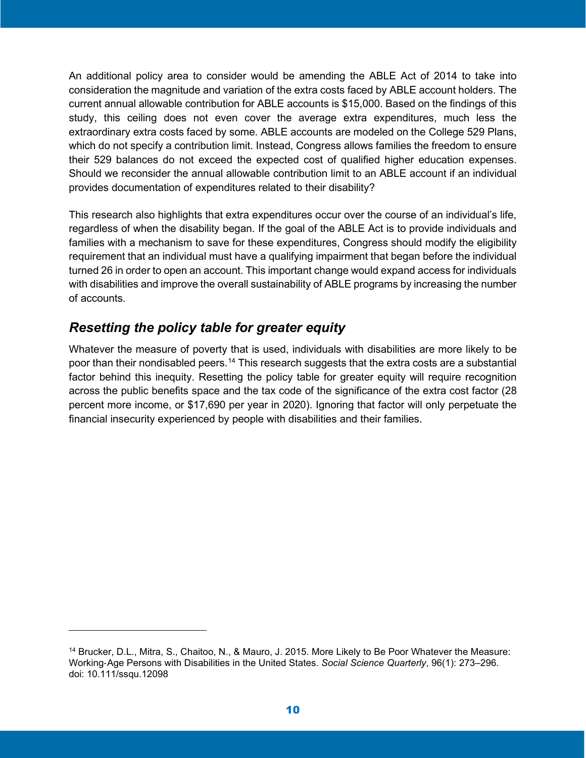An additional policy area to consider would be amending the ABLE Act of 2014 to take into consideration the magnitude and variation of the extra costs faced by ABLE account holders. The current annual allowable contribution for ABLE accounts is \$15,000. Based on the findings of this study, this ceiling does not even cover the average extra expenditures, much less the extraordinary extra costs faced by some. ABLE accounts are modeled on the College 529 Plans, which do not specify a contribution limit. Instead, Congress allows families the freedom to ensure their 529 balances do not exceed the expected cost of qualified higher education expenses. Should we reconsider the annual allowable contribution limit to an ABLE account if an individual provides documentation of expenditures related to their disability?

This research also highlights that extra expenditures occur over the course of an individual's life, regardless of when the disability began. If the goal of the ABLE Act is to provide individuals and families with a mechanism to save for these expenditures, Congress should modify the eligibility requirement that an individual must have a qualifying impairment that began before the individual turned 26 in order to open an account. This important change would expand access for individuals with disabilities and improve the overall sustainability of ABLE programs by increasing the number of accounts.

#### *Resetting the policy table for greater equity*

Whatever the measure of poverty that is used, individuals with disabilities are more likely to be poor than their nondisabled peers.<sup>[14](#page-9-0)</sup> This research suggests that the extra costs are a substantial factor behind this inequity. Resetting the policy table for greater equity will require recognition across the public benefits space and the tax code of the significance of the extra cost factor (28 percent more income, or \$17,690 per year in 2020). Ignoring that factor will only perpetuate the financial insecurity experienced by people with disabilities and their families.

<span id="page-9-0"></span><sup>14</sup> Brucker, D.L., Mitra, S., Chaitoo, N., & Mauro, J. 2015. More Likely to Be Poor Whatever the Measure: Working‐Age Persons with Disabilities in the United States. *Social Science Quarterly*, 96(1): 273–296. doi: 10.111/ssqu.12098